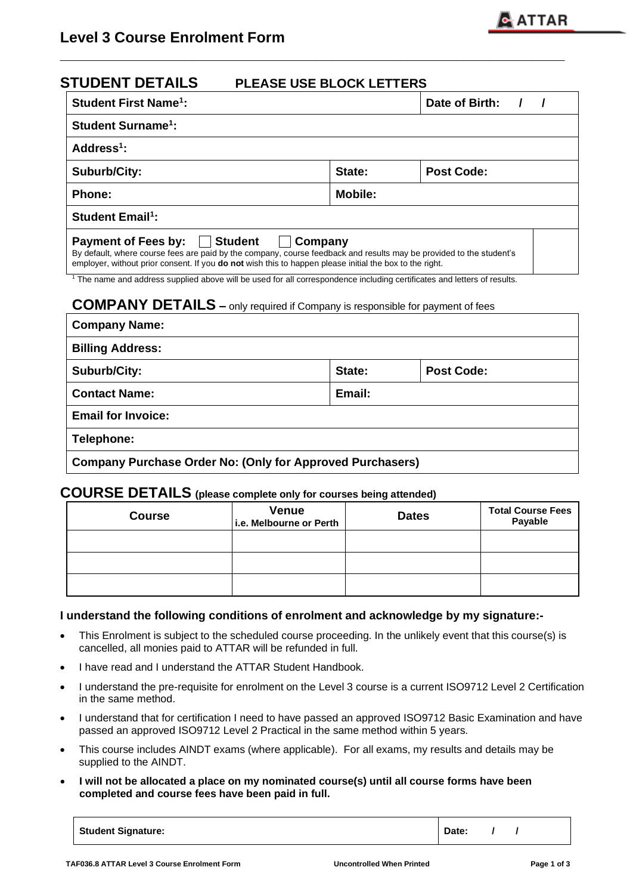| <b>STUDENT DETAILS</b>                 | <b>PLEASE USE BLOCK LETTERS</b>                                                                                                                                                                                                                  |                   |  |
|----------------------------------------|--------------------------------------------------------------------------------------------------------------------------------------------------------------------------------------------------------------------------------------------------|-------------------|--|
| <b>Student First Name<sup>1</sup>:</b> |                                                                                                                                                                                                                                                  | Date of Birth:    |  |
| <b>Student Surname<sup>1</sup>:</b>    |                                                                                                                                                                                                                                                  |                   |  |
| Address $1$ :                          |                                                                                                                                                                                                                                                  |                   |  |
| <b>Suburb/City:</b>                    | State:                                                                                                                                                                                                                                           | <b>Post Code:</b> |  |
| <b>Phone:</b>                          | <b>Mobile:</b>                                                                                                                                                                                                                                   |                   |  |
| <b>Student Email<sup>1</sup>:</b>      |                                                                                                                                                                                                                                                  |                   |  |
| Payment of Fees by: Student            | Company<br>By default, where course fees are paid by the company, course feedback and results may be provided to the student's<br>employer, without prior consent. If you <b>do not</b> wish this to happen please initial the box to the right. |                   |  |

**\_\_\_\_\_\_\_\_\_\_\_\_\_\_\_\_\_\_\_\_\_\_\_\_\_\_\_\_\_\_\_\_\_\_\_\_\_\_\_\_\_\_\_\_\_\_\_\_\_\_\_\_\_\_\_\_\_\_\_\_\_**

<sup>1</sup> The name and address supplied above will be used for all correspondence including certificates and letters of results.

#### **COMPANY DETAILS –** only required if Company is responsible for payment of fees

| <b>Company Name:</b>                                             |        |                   |
|------------------------------------------------------------------|--------|-------------------|
| <b>Billing Address:</b>                                          |        |                   |
| Suburb/City:                                                     | State: | <b>Post Code:</b> |
| <b>Contact Name:</b>                                             | Email: |                   |
| <b>Email for Invoice:</b>                                        |        |                   |
| Telephone:                                                       |        |                   |
| <b>Company Purchase Order No: (Only for Approved Purchasers)</b> |        |                   |

# **COURSE DETAILS (please complete only for courses being attended)**

| <b>Course</b> | <b>Venue</b><br>i.e. Melbourne or Perth | <b>Dates</b> | <b>Total Course Fees</b><br>Payable |
|---------------|-----------------------------------------|--------------|-------------------------------------|
|               |                                         |              |                                     |
|               |                                         |              |                                     |
|               |                                         |              |                                     |

#### **I understand the following conditions of enrolment and acknowledge by my signature:-**

- This Enrolment is subject to the scheduled course proceeding. In the unlikely event that this course(s) is cancelled, all monies paid to ATTAR will be refunded in full.
- I have read and I understand the ATTAR Student Handbook.
- I understand the pre-requisite for enrolment on the Level 3 course is a current ISO9712 Level 2 Certification in the same method.
- I understand that for certification I need to have passed an approved ISO9712 Basic Examination and have passed an approved ISO9712 Level 2 Practical in the same method within 5 years.
- This course includes AINDT exams (where applicable). For all exams, my results and details may be supplied to the AINDT.
- **I will not be allocated a place on my nominated course(s) until all course forms have been completed and course fees have been paid in full.**

**Student Signature:**  $\begin{array}{ccc} \hline \text{Student } \text{Signature:} & \text{M} & \text{M} \\ \hline \end{array}$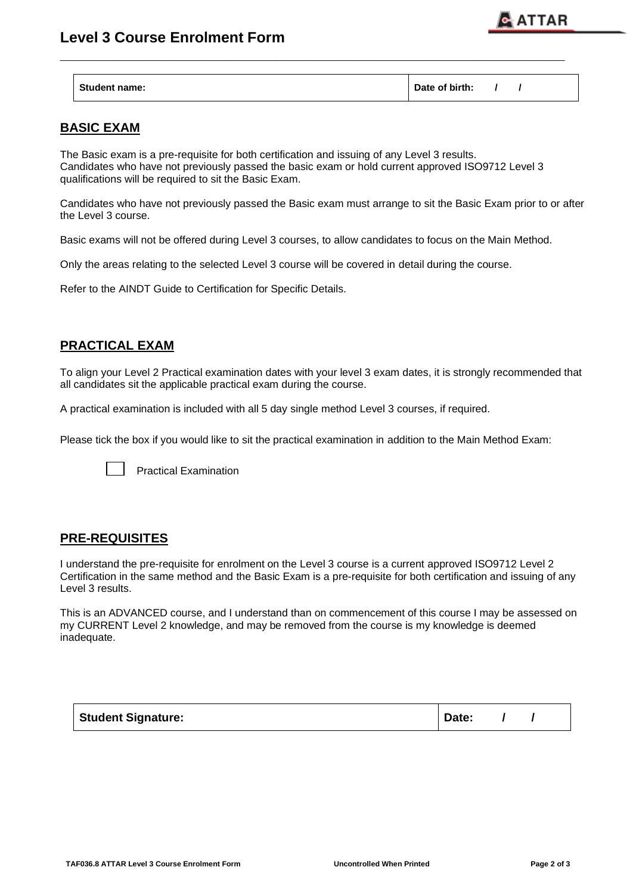



| <b>Student name:</b> | Date of birth: |  |  |  |
|----------------------|----------------|--|--|--|
|----------------------|----------------|--|--|--|

**\_\_\_\_\_\_\_\_\_\_\_\_\_\_\_\_\_\_\_\_\_\_\_\_\_\_\_\_\_\_\_\_\_\_\_\_\_\_\_\_\_\_\_\_\_\_\_\_\_\_\_\_\_\_\_\_\_\_\_\_\_**

## **BASIC EXAM**

The Basic exam is a pre-requisite for both certification and issuing of any Level 3 results. Candidates who have not previously passed the basic exam or hold current approved ISO9712 Level 3 qualifications will be required to sit the Basic Exam.

Candidates who have not previously passed the Basic exam must arrange to sit the Basic Exam prior to or after the Level 3 course.

Basic exams will not be offered during Level 3 courses, to allow candidates to focus on the Main Method.

Only the areas relating to the selected Level 3 course will be covered in detail during the course.

Refer to the AINDT Guide to Certification for Specific Details.

## **PRACTICAL EXAM**

To align your Level 2 Practical examination dates with your level 3 exam dates, it is strongly recommended that all candidates sit the applicable practical exam during the course.

A practical examination is included with all 5 day single method Level 3 courses, if required.

Please tick the box if you would like to sit the practical examination in addition to the Main Method Exam:



Practical Examination

### **PRE-REQUISITES**

I understand the pre-requisite for enrolment on the Level 3 course is a current approved ISO9712 Level 2 Certification in the same method and the Basic Exam is a pre-requisite for both certification and issuing of any Level 3 results.

This is an ADVANCED course, and I understand than on commencement of this course I may be assessed on my CURRENT Level 2 knowledge, and may be removed from the course is my knowledge is deemed inadequate.

| Student Signature: | Date: |
|--------------------|-------|
|--------------------|-------|